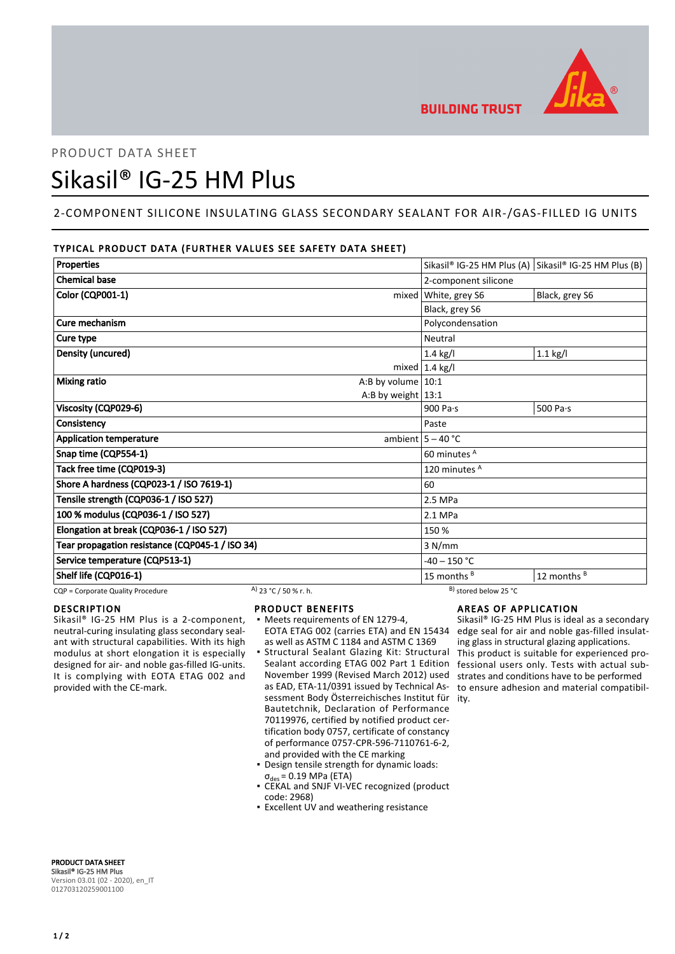

**BUILDING TRUST** 

# PRODUCT DATA SHEET Sikasil® IG-25 HM Plus

# 2-COMPONENT SILICONE INSULATING GLASS SECONDARY SEALANT FOR AIR-/GAS-FILLED IG UNITS

# TYPICAL PRODUCT DATA (FURTHER VALUES SEE SAFETY DATA SHEET)

| <b>Properties</b>                               |                       |                      | Sikasil® IG-25 HM Plus (A) Sikasil® IG-25 HM Plus (B) |                |
|-------------------------------------------------|-----------------------|----------------------|-------------------------------------------------------|----------------|
| <b>Chemical base</b>                            |                       |                      | 2-component silicone                                  |                |
| Color (CQP001-1)                                |                       |                      | mixed   White, grey S6                                | Black, grey S6 |
|                                                 |                       |                      | Black, grey S6                                        |                |
| Cure mechanism                                  |                       |                      | Polycondensation                                      |                |
| Cure type                                       |                       |                      | <b>Neutral</b>                                        |                |
| Density (uncured)                               |                       |                      | $1.4$ kg/l                                            | $1.1$ kg/l     |
|                                                 |                       |                      | mixed $1.4$ kg/l                                      |                |
| <b>Mixing ratio</b>                             |                       | A:B by volume $10:1$ |                                                       |                |
|                                                 |                       | A:B by weight $13:1$ |                                                       |                |
| Viscosity (CQP029-6)                            |                       |                      | 900 Pa $\cdot$ s                                      | 500 Pa·s       |
| Consistency                                     |                       |                      | Paste                                                 |                |
| <b>Application temperature</b>                  |                       |                      | ambient $5 - 40$ °C                                   |                |
| Snap time (CQP554-1)                            |                       |                      | 60 minutes <sup>A</sup>                               |                |
| Tack free time (CQP019-3)                       |                       | 120 minutes A        |                                                       |                |
| Shore A hardness (CQP023-1 / ISO 7619-1)        |                       | 60                   |                                                       |                |
| Tensile strength (CQP036-1 / ISO 527)           |                       | 2.5 MPa              |                                                       |                |
| 100 % modulus (CQP036-1 / ISO 527)              |                       | 2.1 MPa              |                                                       |                |
| Elongation at break (CQP036-1 / ISO 527)        |                       | 150 %                |                                                       |                |
| Tear propagation resistance (CQP045-1 / ISO 34) |                       |                      | 3 N/mm                                                |                |
| Service temperature (CQP513-1)                  |                       | $-40 - 150$ °C       |                                                       |                |
| Shelf life (CQP016-1)                           |                       |                      | 15 months $B$                                         | 12 months B    |
| CQP = Corporate Quality Procedure               | A) 23 °C / 50 % r. h. |                      | <sup>B)</sup> stored below 25 °C                      |                |

## DESCRIPTION

Sikasil® IG-25 HM Plus is a 2-component, neutral-curing insulating glass secondary sealant with structural capabilities. With its high modulus at short elongation it is especially designed for air- and noble gas-filled IG-units. It is complying with EOTA ETAG 002 and provided with the CE-mark.

- PRODUCT BENEFITS
- Meets requirements of EN 1279-4, EOTA ETAG 002 (carries ETA) and EN 15434 as well as ASTM C 1184 and ASTM C 1369
- Structural Sealant Glazing Kit: Structural Sealant according ETAG 002 Part 1 Edition November 1999 (Revised March 2012) used as EAD, ETA-11/0391 issued by Technical Assessment Body Österreichisches Institut für ity. Bautetchnik, Declaration of Performance 70119976, certified by notified product certification body 0757, certificate of constancy of performance 0757-CPR-596-7110761-6-2, and provided with the CE marking ▪
- Design tensile strength for dynamic loads:  $\sigma_{\text{des}} = 0.19 \text{ MPa (ETA)}$
- CEKAL and SNJF VI-VEC recognized (product code: 2968)
- **Excellent UV and weathering resistance**

# AREAS OF APPLICATION

Sikasil® IG-25 HM Plus is ideal as a secondary edge seal for air and noble gas-filled insulating glass in structural glazing applications. This product is suitable for experienced professional users only. Tests with actual substrates and conditions have to be performed to ensure adhesion and material compatibil-

PRODUCT DATA SHEET Sikasil® IG-25 HM Plus Version 03.01 (02 - 2020), en\_IT 012703120259001100